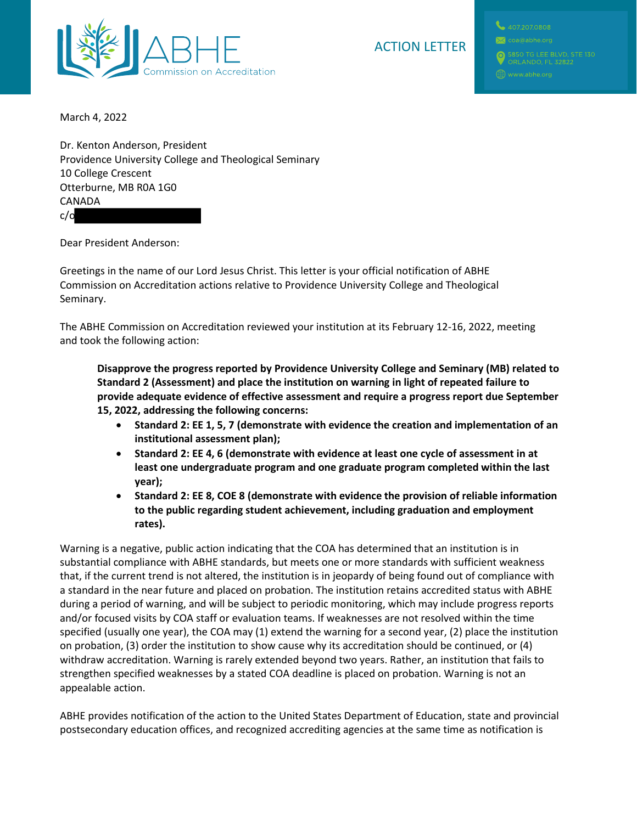

## ACTION LETTER

March 4, 2022

Dr. Kenton Anderson, President Providence University College and Theological Seminary 10 College Crescent Otterburne, MB R0A 1G0 CANADA c/o

Dear President Anderson:

Greetings in the name of our Lord Jesus Christ. This letter is your official notification of ABHE Commission on Accreditation actions relative to Providence University College and Theological Seminary.

The ABHE Commission on Accreditation reviewed your institution at its February 12-16, 2022, meeting and took the following action:

**Disapprove the progress reported by Providence University College and Seminary (MB) related to Standard 2 (Assessment) and place the institution on warning in light of repeated failure to provide adequate evidence of effective assessment and require a progress report due September 15, 2022, addressing the following concerns:**

- **Standard 2: EE 1, 5, 7 (demonstrate with evidence the creation and implementation of an institutional assessment plan);**
- **Standard 2: EE 4, 6 (demonstrate with evidence at least one cycle of assessment in at least one undergraduate program and one graduate program completed within the last year);**
- **Standard 2: EE 8, COE 8 (demonstrate with evidence the provision of reliable information to the public regarding student achievement, including graduation and employment rates).**

Warning is a negative, public action indicating that the COA has determined that an institution is in substantial compliance with ABHE standards, but meets one or more standards with sufficient weakness that, if the current trend is not altered, the institution is in jeopardy of being found out of compliance with a standard in the near future and placed on probation. The institution retains accredited status with ABHE during a period of warning, and will be subject to periodic monitoring, which may include progress reports and/or focused visits by COA staff or evaluation teams. If weaknesses are not resolved within the time specified (usually one year), the COA may (1) extend the warning for a second year, (2) place the institution on probation, (3) order the institution to show cause why its accreditation should be continued, or (4) withdraw accreditation. Warning is rarely extended beyond two years. Rather, an institution that fails to strengthen specified weaknesses by a stated COA deadline is placed on probation. Warning is not an appealable action.

ABHE provides notification of the action to the United States Department of Education, state and provincial postsecondary education offices, and recognized accrediting agencies at the same time as notification is